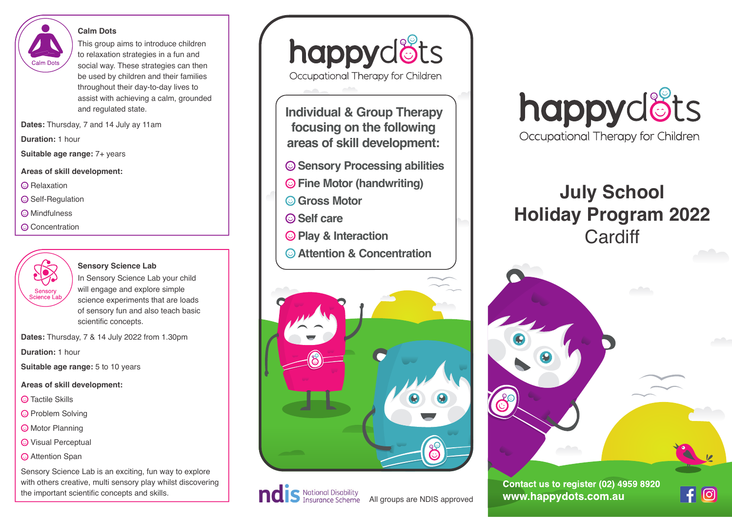#### **Calm Dots**



This group aims to introduce children to relaxation strategies in a fun and social way. These strategies can then be used by children and their families throughout their day-to-day lives to assist with achieving a calm, grounded and regulated state.

**Dates:** Thursday, 7 and 14 July ay 11am

**Duration:** 1 hour

**Suitable age range:** 7+ years

**Areas of skill development:**

**C** Relaxation

**Self-Regulation** 

- **C** Mindfulness
- Concentration



### **Sensory Science Lab**

In Sensory Science Lab your child will engage and explore simple science experiments that are loads of sensory fun and also teach basic scientific concepts.

**Dates:** Thursday, 7 & 14 July 2022 from 1.30pm

**Duration:** 1 hour

**Suitable age range:** 5 to 10 years

## **Areas of skill development:**

- Tactile Skills
- **O** Problem Solving
- Motor Planning
- Visual Perceptual
- Attention Span

Sensory Science Lab is an exciting, fun way to explore with others creative, multi sensory play whilst discovering the important scientific concepts and skills.

happydots Occupational Therapy for Children

**Individual & Group Therapy focusing on the following areas of skill development:**

- **Sensory Processing abilities**
- **Fine Motor (handwriting)**
- **Gross Motor**
- **Self care**
- **Play & Interaction**
- **Attention & Concentration**









# **July School Holiday Program 2022 Cardiff**